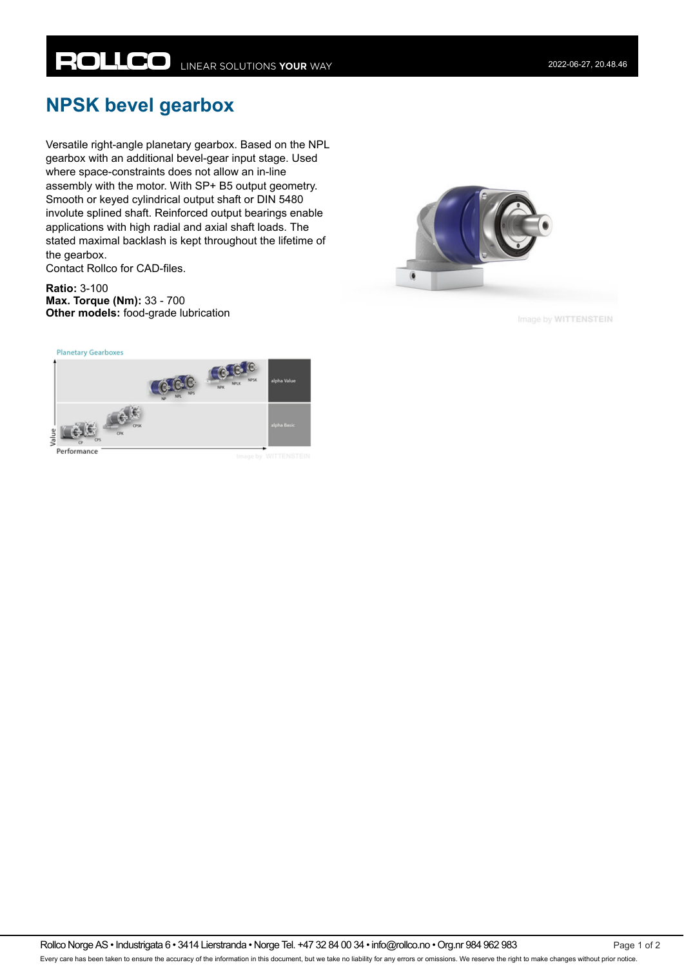## **NPSK bevel gearbox**

Versatile right-angle planetary gearbox. Based on the NPL gearbox with an additional bevel-gear input stage. Used where space-constraints does not allow an in-line assembly with the motor. With SP+ B5 output geometry. Smooth or keyed cylindrical output shaft or DIN 5480 involute splined shaft. Reinforced output bearings enable applications with high radial and axial shaft loads. The stated maximal backlash is kept throughout the lifetime of the gearbox.

Contact Rollco for CAD-files.

**Ratio:** 3-100 **Max. Torque (Nm):** 33 - 700 **Other models:** food-grade lubrication



Image by WITTENSTEIN